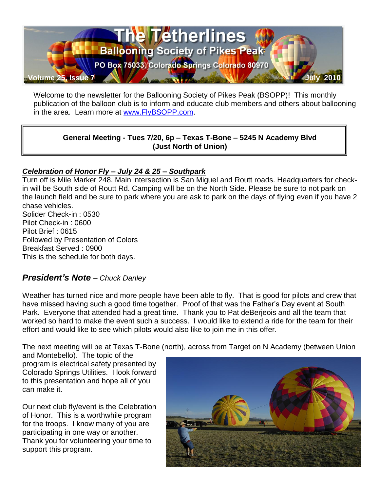

Welcome to the newsletter for the Ballooning Society of Pikes Peak (BSOPP)! This monthly publication of the balloon club is to inform and educate club members and others about ballooning in the area. Learn more at [www.FlyBSOPP.com.](http://www.flybsopp.com/)

#### **General Meeting - Tues 7/20, 6p – Texas T-Bone – 5245 N Academy Blvd (Just North of Union)**

#### *Celebration of Honor Fly – July 24 & 25 – Southpark*

Turn off is Mile Marker 248. Main intersection is San Miguel and Routt roads. Headquarters for checkin will be South side of Routt Rd. Camping will be on the North Side. Please be sure to not park on the launch field and be sure to park where you are ask to park on the days of flying even if you have 2 chase vehicles. Solider Check-in : 0530 Pilot Check-in : 0600 Pilot Brief : 0615 Followed by Presentation of Colors Breakfast Served : 0900

This is the schedule for both days.

## *President's Note – Chuck Danley*

Weather has turned nice and more people have been able to fly. That is good for pilots and crew that have missed having such a good time together. Proof of that was the Father's Day event at South Park. Everyone that attended had a great time. Thank you to Pat deBerjeois and all the team that worked so hard to make the event such a success. I would like to extend a ride for the team for their effort and would like to see which pilots would also like to join me in this offer.

The next meeting will be at Texas T-Bone (north), across from Target on N Academy (between Union

and Montebello). The topic of the program is electrical safety presented by Colorado Springs Utilities. I look forward to this presentation and hope all of you can make it.

Our next club fly/event is the Celebration of Honor. This is a worthwhile program for the troops. I know many of you are participating in one way or another. Thank you for volunteering your time to support this program.

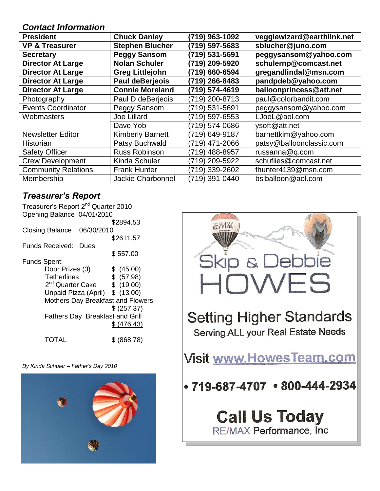### *Contact Information*

| <b>President</b>           | <b>Chuck Danley</b>      | (719) 963-1092 | veggiewizard@earthlink.net |
|----------------------------|--------------------------|----------------|----------------------------|
| <b>VP &amp; Treasurer</b>  | <b>Stephen Blucher</b>   | (719) 597-5683 | sblucher@juno.com          |
| <b>Secretary</b>           | <b>Peggy Sansom</b>      | (719) 531-5691 | peggysansom@yahoo.com      |
| <b>Director At Large</b>   | <b>Nolan Schuler</b>     | (719) 209-5920 | schulernp@comcast.net      |
| <b>Director At Large</b>   | <b>Greg Littlejohn</b>   | (719) 660-6594 | gregandlindal@msn.com      |
| <b>Director At Large</b>   | Paul deBerjeois          | (719) 266-8483 | pandpdeb@yahoo.com         |
| <b>Director At Large</b>   | <b>Connie Moreland</b>   | (719) 574-4619 | balloonprincess@att.net    |
| Photography                | Paul D deBerjeois        | (719) 200-8713 | paul@colorbandit.com       |
| <b>Events Coordinator</b>  | Peggy Sansom             | (719) 531-5691 | peggysansom@yahoo.com      |
| Webmasters                 | <b>Joe Lillard</b>       | (719) 597-6553 | LJoeL@aol.com              |
|                            | Dave Yob                 | (719) 574-0686 | ysoft@att.net              |
| <b>Newsletter Editor</b>   | <b>Kimberly Barnett</b>  | (719) 649-9187 | barnettkim@yahoo.com       |
| Historian                  | Patsy Buchwald           | (719) 471-2066 | patsy@balloonclassic.com   |
| <b>Safety Officer</b>      | <b>Russ Robinson</b>     | (719) 488-8957 | russanna@q.com             |
| <b>Crew Development</b>    | Kinda Schuler            | (719) 209-5922 | schuflies@comcast.net      |
| <b>Community Relations</b> | <b>Frank Hunter</b>      | 719) 339-2602  | fhunter4139@msn.com        |
| Membership                 | <b>Jackie Charbonnel</b> | (719) 391-0440 | bslballoon@aol.com         |

## *Treasurer's Report*

|                 |                              | Treasurer's Report 2 <sup>nd</sup> Quarter 2010<br>Opening Balance 04/01/2010 |                                        |
|-----------------|------------------------------|-------------------------------------------------------------------------------|----------------------------------------|
|                 |                              |                                                                               | \$2894.53                              |
| Closing Balance |                              | 06/30/2010                                                                    |                                        |
|                 |                              |                                                                               | \$2611.57                              |
| Funds Received: |                              | Dues                                                                          |                                        |
|                 |                              |                                                                               | \$557.00                               |
| Funds Spent:    |                              |                                                                               |                                        |
|                 | Door Prizes (3)              |                                                                               | \$ (45.00)                             |
|                 | <b>Tetherlines</b>           |                                                                               | \$ (57.98)                             |
|                 | 2 <sup>nd</sup> Quarter Cake |                                                                               | \$(19.00)                              |
|                 |                              | Unpaid Pizza (April) \$ (13.00)                                               |                                        |
|                 |                              |                                                                               | Mothers Day Breakfast and Flowers      |
|                 |                              |                                                                               | \$ (257.37)                            |
|                 |                              |                                                                               | <b>Fathers Day Breakfast and Grill</b> |
|                 |                              |                                                                               | \$ (476.43)                            |
|                 | TOTAL                        |                                                                               | \$(868.78)                             |

*By Kinda Schuler – Father's Day 2010*



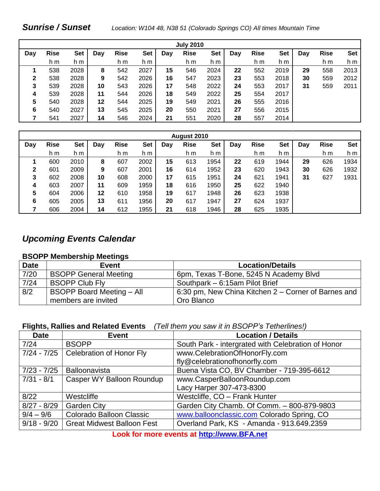### *Sunrise / Sunset Location: W104 48, N38 51 (Colorado Springs CO) All times Mountain Time*

|     |             |      |     |             |      |     | <b>July 2010</b> |            |     |             |            |     |             |            |
|-----|-------------|------|-----|-------------|------|-----|------------------|------------|-----|-------------|------------|-----|-------------|------------|
| Day | <b>Rise</b> | Set  | Day | <b>Rise</b> | Set  | Day | <b>Rise</b>      | <b>Set</b> | Day | <b>Rise</b> | <b>Set</b> | Day | <b>Rise</b> | <b>Set</b> |
|     | h m         | h m  |     | h m         | h m  |     | h m              | h m        |     | h m         | h m        |     | h m         | h m        |
|     | 538         | 2028 | 8   | 542         | 2027 | 15  | 546              | 2024       | 22  | 552         | 2019       | 29  | 558         | 2013       |
| 2   | 538         | 2028 | 9   | 542         | 2026 | 16  | 547              | 2023       | 23  | 553         | 2018       | 30  | 559         | 2012       |
| 3   | 539         | 2028 | 10  | 543         | 2026 | 17  | 548              | 2022       | 24  | 553         | 2017       | 31  | 559         | 2011       |
| 4   | 539         | 2028 | 11  | 544         | 2026 | 18  | 549              | 2022       | 25  | 554         | 2017       |     |             |            |
| 5   | 540         | 2028 | 12  | 544         | 2025 | 19  | 549              | 2021       | 26  | 555         | 2016       |     |             |            |
| 6   | 540         | 2027 | 13  | 545         | 2025 | 20  | 550              | 2021       | 27  | 556         | 2015       |     |             |            |
|     | 541         | 2027 | 14  | 546         | 2024 | 21  | 551              | 2020       | 28  | 557         | 2014       |     |             |            |

| August 2010 |             |      |     |             |            |     |             |            |     |             |      |     |             |      |
|-------------|-------------|------|-----|-------------|------------|-----|-------------|------------|-----|-------------|------|-----|-------------|------|
| Day         | <b>Rise</b> | Set  | Day | <b>Rise</b> | <b>Set</b> | Day | <b>Rise</b> | <b>Set</b> | Day | <b>Rise</b> | Set  | Day | <b>Rise</b> | Set  |
|             | h m         | h m  |     | h m         | h m        |     | h m         | h m        |     | h m         | h m  |     | h m         | h m  |
|             | 600         | 2010 | 8   | 607         | 2002       | 15  | 613         | 1954       | 22  | 619         | 1944 | 29  | 626         | 1934 |
| 2           | 601         | 2009 | 9   | 607         | 2001       | 16  | 614         | 1952       | 23  | 620         | 1943 | 30  | 626         | 1932 |
| 3           | 602         | 2008 | 10  | 608         | 2000       | 17  | 615         | 1951       | 24  | 621         | 1941 | 31  | 627         | 1931 |
| 4           | 603         | 2007 | 11  | 609         | 1959       | 18  | 616         | 1950       | 25  | 622         | 1940 |     |             |      |
| 5           | 604         | 2006 | 12  | 610         | 1958       | 19  | 617         | 1948       | 26  | 623         | 1938 |     |             |      |
| 6           | 605         | 2005 | 13  | 611         | 1956       | 20  | 617         | 1947       | 27  | 624         | 1937 |     |             |      |
|             | 606         | 2004 | 14  | 612         | 1955       | 21  | 618         | 1946       | 28  | 625         | 1935 |     |             |      |

## *Upcoming Events Calendar*

#### **BSOPP Membership Meetings**

| <b>Date</b> | Event                            | <b>Location/Details</b>                             |
|-------------|----------------------------------|-----------------------------------------------------|
| 7/20        | <b>BSOPP General Meeting</b>     | 6pm, Texas T-Bone, 5245 N Academy Blvd              |
| 7/24        | <b>BSOPP Club Fly</b>            | Southpark - 6:15am Pilot Brief                      |
| 8/2         | <b>BSOPP Board Meeting - All</b> | 6:30 pm, New China Kitchen 2 – Corner of Barnes and |
|             | members are invited              | Oro Blanco                                          |

#### **Flights, Rallies and Related Events** *(Tell them you saw it in BSOPP's Tetherlines!)*

| <b>Date</b>   | <b>Event</b>                      | <b>Location / Details</b>                          |
|---------------|-----------------------------------|----------------------------------------------------|
| 7/24          | <b>BSOPP</b>                      | South Park - intergrated with Celebration of Honor |
| $7/24 - 7/25$ | Celebration of Honor Fly          | www.CelebrationOfHonorFly.com                      |
|               |                                   | fly@celebrationofhonorfly.com                      |
| $7/23 - 7/25$ | Balloonavista                     | Buena Vista CO, BV Chamber - 719-395-6612          |
| $7/31 - 8/1$  | Casper WY Balloon Roundup         | www.CasperBalloonRoundup.com                       |
|               |                                   | Lacy Harper 307-473-8300                           |
| 8/22          | Westcliffe                        | Westcliffe, CO - Frank Hunter                      |
| $8/27 - 8/29$ | <b>Garden City</b>                | Garden City Chamb. Of Comm. - 800-879-9803         |
| $9/4 - 9/6$   | Colorado Balloon Classic          | www.balloonclassic.com Colorado Spring, CO         |
| $9/18 - 9/20$ | <b>Great Midwest Balloon Fest</b> | Overland Park, KS - Amanda - 913.649.2359          |

**Look for more events at [http://www.BFA.net](http://www.bfa.net/)**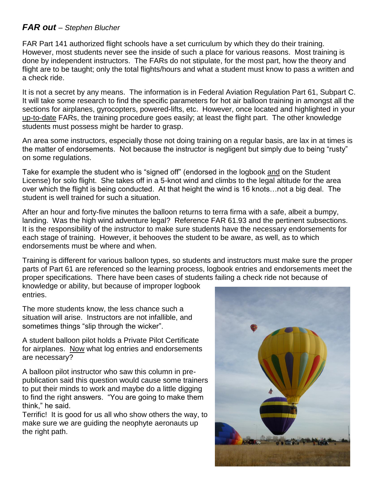### *FAR out – Stephen Blucher*

FAR Part 141 authorized flight schools have a set curriculum by which they do their training. However, most students never see the inside of such a place for various reasons. Most training is done by independent instructors. The FARs do not stipulate, for the most part, how the theory and flight are to be taught; only the total flights/hours and what a student must know to pass a written and a check ride.

It is not a secret by any means. The information is in Federal Aviation Regulation Part 61, Subpart C. It will take some research to find the specific parameters for hot air balloon training in amongst all the sections for airplanes, gyrocopters, powered-lifts, etc. However, once located and highlighted in your up-to-date FARs, the training procedure goes easily; at least the flight part. The other knowledge students must possess might be harder to grasp.

An area some instructors, especially those not doing training on a regular basis, are lax in at times is the matter of endorsements. Not because the instructor is negligent but simply due to being "rusty" on some regulations.

Take for example the student who is "signed off" (endorsed in the logbook and on the Student License) for solo flight. She takes off in a 5-knot wind and climbs to the legal altitude for the area over which the flight is being conducted. At that height the wind is 16 knots…not a big deal. The student is well trained for such a situation.

After an hour and forty-five minutes the balloon returns to terra firma with a safe, albeit a bumpy, landing. Was the high wind adventure legal? Reference FAR 61.93 and the pertinent subsections. It is the responsibility of the instructor to make sure students have the necessary endorsements for each stage of training. However, it behooves the student to be aware, as well, as to which endorsements must be where and when.

Training is different for various balloon types, so students and instructors must make sure the proper parts of Part 61 are referenced so the learning process, logbook entries and endorsements meet the proper specifications. There have been cases of students failing a check ride not because of

knowledge or ability, but because of improper logbook entries.

The more students know, the less chance such a situation will arise. Instructors are not infallible, and sometimes things "slip through the wicker".

A student balloon pilot holds a Private Pilot Certificate for airplanes. Now what log entries and endorsements are necessary?

A balloon pilot instructor who saw this column in prepublication said this question would cause some trainers to put their minds to work and maybe do a little digging to find the right answers. "You are going to make them think," he said.

Terrific! It is good for us all who show others the way, to make sure we are guiding the neophyte aeronauts up the right path.

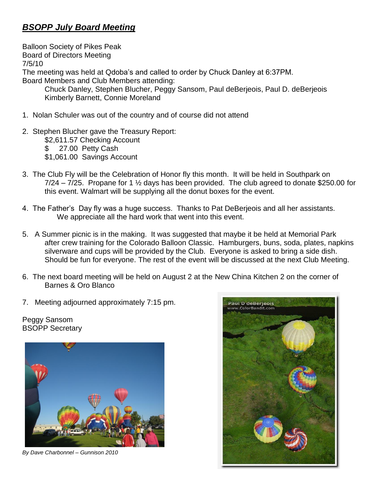## *BSOPP July Board Meeting*

Balloon Society of Pikes Peak Board of Directors Meeting 7/5/10 The meeting was held at Qdoba's and called to order by Chuck Danley at 6:37PM. Board Members and Club Members attending: Chuck Danley, Stephen Blucher, Peggy Sansom, Paul deBerjeois, Paul D. deBerjeois Kimberly Barnett, Connie Moreland

- 1. Nolan Schuler was out of the country and of course did not attend
- 2. Stephen Blucher gave the Treasury Report:
	- \$2,611.57 Checking Account
	- \$ 27.00 Petty Cash
	- \$1,061.00 Savings Account
- 3. The Club Fly will be the Celebration of Honor fly this month. It will be held in Southpark on  $7/24 - 7/25$ . Propane for 1  $\frac{1}{2}$  days has been provided. The club agreed to donate \$250.00 for this event. Walmart will be supplying all the donut boxes for the event.
- 4. The Father's Day fly was a huge success. Thanks to Pat DeBerjeois and all her assistants. We appreciate all the hard work that went into this event.
- 5. A Summer picnic is in the making. It was suggested that maybe it be held at Memorial Park after crew training for the Colorado Balloon Classic. Hamburgers, buns, soda, plates, napkins silverware and cups will be provided by the Club. Everyone is asked to bring a side dish. Should be fun for everyone. The rest of the event will be discussed at the next Club Meeting.
- 6. The next board meeting will be held on August 2 at the New China Kitchen 2 on the corner of Barnes & Oro Blanco
- 7. Meeting adjourned approximately 7:15 pm.

Peggy Sansom BSOPP Secretary



*By Dave Charbonnel – Gunnison 2010*